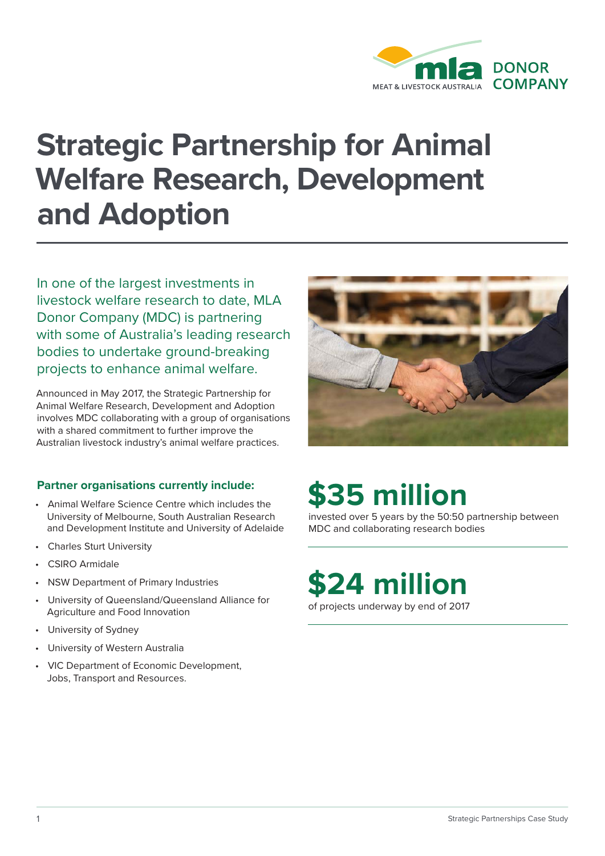

# **Strategic Partnership for Animal Welfare Research, Development and Adoption**

In one of the largest investments in livestock welfare research to date, MLA Donor Company (MDC) is partnering with some of Australia's leading research bodies to undertake ground-breaking projects to enhance animal welfare.

Announced in May 2017, the Strategic Partnership for Animal Welfare Research, Development and Adoption involves MDC collaborating with a group of organisations with a shared commitment to further improve the Australian livestock industry's animal welfare practices.

### **Partner organisations currently include:**

- Animal Welfare Science Centre which includes the University of Melbourne, South Australian Research and Development Institute and University of Adelaide
- **Charles Sturt University**
- CSIRO Armidale
- NSW Department of Primary Industries
- University of Queensland/Queensland Alliance for Agriculture and Food Innovation
- University of Sydney
- University of Western Australia
- VIC Department of Economic Development, Jobs, Transport and Resources.



# **\$35 million**

invested over 5 years by the 50:50 partnership between MDC and collaborating research bodies